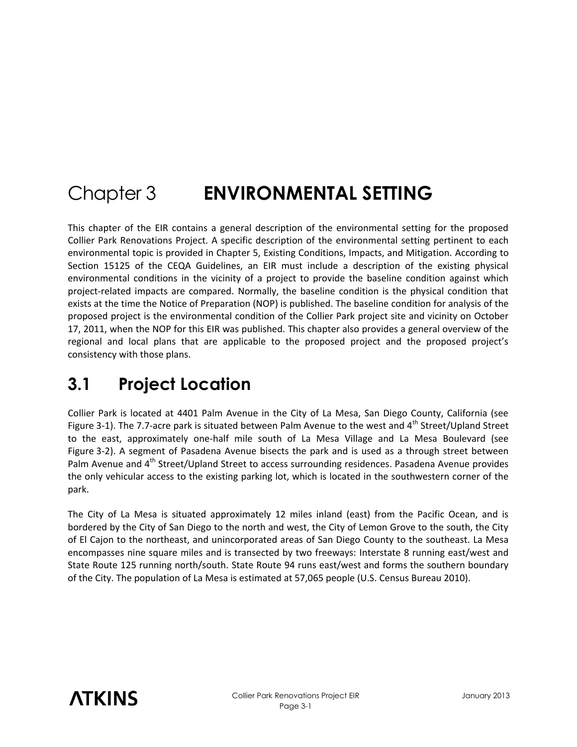# Chapter 3 **ENVIRONMENTAL SETTING**

This chapter of the EIR contains a general description of the environmental setting for the proposed Collier Park Renovations Project. A specific description of the environmental setting pertinent to each environmental topic is provided in Chapter 5, Existing Conditions, Impacts, and Mitigation. According to Section 15125 of the CEQA Guidelines, an EIR must include a description of the existing physical environmental conditions in the vicinity of a project to provide the baseline condition against which project-related impacts are compared. Normally, the baseline condition is the physical condition that exists at the time the Notice of Preparation (NOP) is published. The baseline condition for analysis of the proposed project is the environmental condition of the Collier Park project site and vicinity on October 17, 2011, when the NOP for this EIR was published. This chapter also provides a general overview of the regional and local plans that are applicable to the proposed project and the proposed project's consistency with those plans.

### **3.1 Project Location**

Collier Park is located at 4401 Palm Avenue in the City of La Mesa, San Diego County, California (see Figure 3-1). The 7.7-acre park is situated between Palm Avenue to the west and 4<sup>th</sup> Street/Upland Street to the east, approximately one-half mile south of La Mesa Village and La Mesa Boulevard (see Figure 3-2). A segment of Pasadena Avenue bisects the park and is used as a through street between Palm Avenue and 4<sup>th</sup> Street/Upland Street to access surrounding residences. Pasadena Avenue provides the only vehicular access to the existing parking lot, which is located in the southwestern corner of the park.

The City of La Mesa is situated approximately 12 miles inland (east) from the Pacific Ocean, and is bordered by the City of San Diego to the north and west, the City of Lemon Grove to the south, the City of El Cajon to the northeast, and unincorporated areas of San Diego County to the southeast. La Mesa encompasses nine square miles and is transected by two freeways: Interstate 8 running east/west and State Route 125 running north/south. State Route 94 runs east/west and forms the southern boundary of the City. The population of La Mesa is estimated at 57,065 people (U.S. Census Bureau 2010).

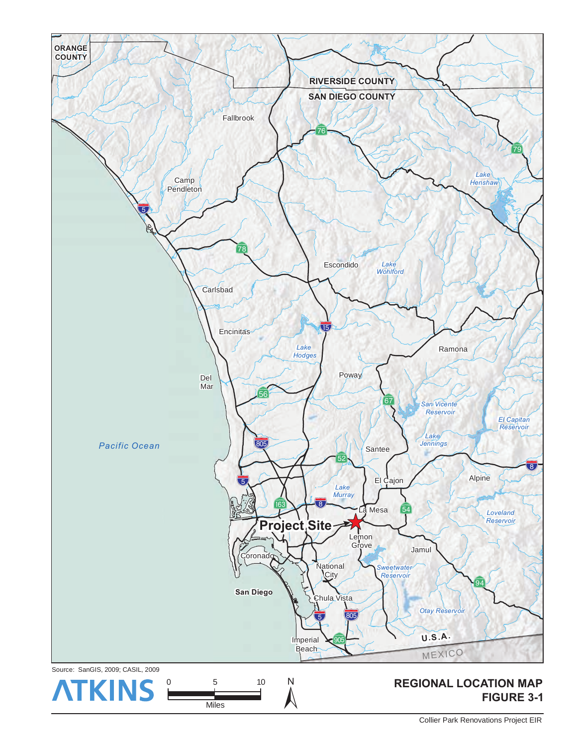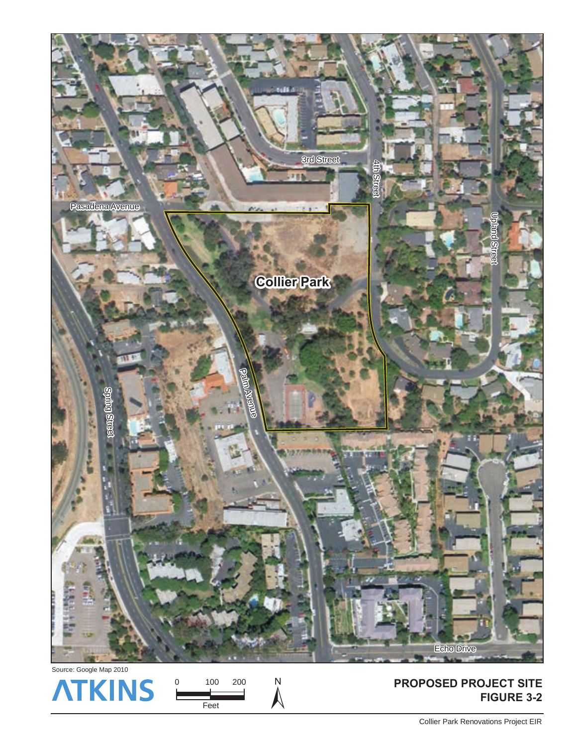

![](_page_2_Picture_1.jpeg)

Feet

**FIGURE 3-2**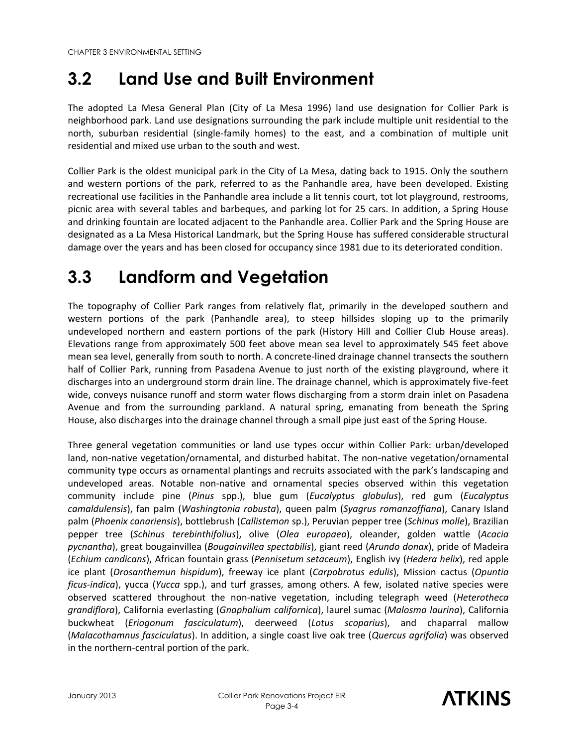### **3.2 Land Use and Built Environment**

The adopted La Mesa General Plan (City of La Mesa 1996) land use designation for Collier Park is neighborhood park. Land use designations surrounding the park include multiple unit residential to the north, suburban residential (single-family homes) to the east, and a combination of multiple unit residential and mixed use urban to the south and west.

Collier Park is the oldest municipal park in the City of La Mesa, dating back to 1915. Only the southern and western portions of the park, referred to as the Panhandle area, have been developed. Existing recreational use facilities in the Panhandle area include a lit tennis court, tot lot playground, restrooms, picnic area with several tables and barbeques, and parking lot for 25 cars. In addition, a Spring House and drinking fountain are located adjacent to the Panhandle area. Collier Park and the Spring House are designated as a La Mesa Historical Landmark, but the Spring House has suffered considerable structural damage over the years and has been closed for occupancy since 1981 due to its deteriorated condition.

# **3.3 Landform and Vegetation**

The topography of Collier Park ranges from relatively flat, primarily in the developed southern and western portions of the park (Panhandle area), to steep hillsides sloping up to the primarily undeveloped northern and eastern portions of the park (History Hill and Collier Club House areas). Elevations range from approximately 500 feet above mean sea level to approximately 545 feet above mean sea level, generally from south to north. A concrete-lined drainage channel transects the southern half of Collier Park, running from Pasadena Avenue to just north of the existing playground, where it discharges into an underground storm drain line. The drainage channel, which is approximately five-feet wide, conveys nuisance runoff and storm water flows discharging from a storm drain inlet on Pasadena Avenue and from the surrounding parkland. A natural spring, emanating from beneath the Spring House, also discharges into the drainage channel through a small pipe just east of the Spring House.

Three general vegetation communities or land use types occur within Collier Park: urban/developed land, non-native vegetation/ornamental, and disturbed habitat. The non-native vegetation/ornamental community type occurs as ornamental plantings and recruits associated with the park's landscaping and undeveloped areas. Notable non-native and ornamental species observed within this vegetation community include pine (*Pinus* spp.), blue gum (*Eucalyptus globulus*), red gum (*Eucalyptus camaldulensis*), fan palm (*Washingtonia robusta*), queen palm (*[Syagrus romanzoffiana](http://www.calflora.org/cgi-bin/species_query.cgi?where-calrecnum=10704)*), Canary Island palm (*Phoenix canariensis*), bottlebrush (*Callistemon* sp.), Peruvian pepper tree (*Schinus molle*), Brazilian pepper tree (*Schinus terebinthifolius*), olive (*Olea europaea*), oleander, golden wattle (*Acacia pycnantha*), great bougainvillea (*Bougainvillea spectabilis*), giant reed (*Arundo donax*), pride of Madeira (*Echium candicans*), African fountain grass (*Pennisetum setaceum*), English ivy (*Hedera helix*), red apple ice plant (*Drosanthemun hispidum*), freeway ice plant (*Carpobrotus edulis*), Mission cactus (*Opuntia ficus-indica*), yucca (*Yucca* spp.), and turf grasses, among others. A few, isolated native species were observed scattered throughout the non-native vegetation, including telegraph weed (*Heterotheca grandiflora*), California everlasting (*Gnaphalium californica*), laurel sumac (*Malosma laurina*), California buckwheat (*Eriogonum fasciculatum*), deerweed (*Lotus scoparius*), and chaparral mallow (*Malacothamnus fasciculatus*). In addition, a single coast live oak tree (*Quercus agrifolia*) was observed in the northern-central portion of the park.

![](_page_3_Picture_9.jpeg)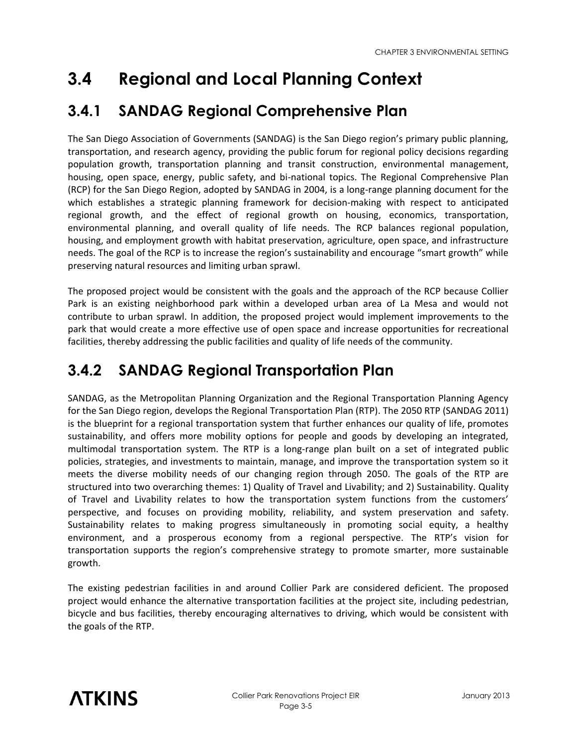# **3.4 Regional and Local Planning Context**

#### **3.4.1 SANDAG Regional Comprehensive Plan**

The San Diego Association of Governments (SANDAG) is the San Diego region's primary public planning, transportation, and research agency, providing the public forum for regional policy decisions regarding population growth, transportation planning and transit construction, environmental management, housing, open space, energy, public safety, and bi-national topics. The Regional Comprehensive Plan (RCP) for the San Diego Region, adopted by SANDAG in 2004, is a long-range planning document for the which establishes a strategic planning framework for decision-making with respect to anticipated regional growth, and the effect of regional growth on housing, economics, transportation, environmental planning, and overall quality of life needs. The RCP balances regional population, housing, and employment growth with habitat preservation, agriculture, open space, and infrastructure needs. The goal of the RCP is to increase the region's sustainability and encourage "smart growth" while preserving natural resources and limiting urban sprawl.

The proposed project would be consistent with the goals and the approach of the RCP because Collier Park is an existing neighborhood park within a developed urban area of La Mesa and would not contribute to urban sprawl. In addition, the proposed project would implement improvements to the park that would create a more effective use of open space and increase opportunities for recreational facilities, thereby addressing the public facilities and quality of life needs of the community.

#### **3.4.2 SANDAG Regional Transportation Plan**

SANDAG, as the Metropolitan Planning Organization and the Regional Transportation Planning Agency for the San Diego region, develops the Regional Transportation Plan (RTP). The 2050 RTP (SANDAG 2011) is the blueprint for a regional transportation system that further enhances our quality of life, promotes sustainability, and offers more mobility options for people and goods by developing an integrated, multimodal transportation system. The RTP is a long-range plan built on a set of integrated public policies, strategies, and investments to maintain, manage, and improve the transportation system so it meets the diverse mobility needs of our changing region through 2050. The goals of the RTP are structured into two overarching themes: 1) Quality of Travel and Livability; and 2) Sustainability. Quality of Travel and Livability relates to how the transportation system functions from the customers' perspective, and focuses on providing mobility, reliability, and system preservation and safety. Sustainability relates to making progress simultaneously in promoting social equity, a healthy environment, and a prosperous economy from a regional perspective. The RTP's vision for transportation supports the region's comprehensive strategy to promote smarter, more sustainable growth.

The existing pedestrian facilities in and around Collier Park are considered deficient. The proposed project would enhance the alternative transportation facilities at the project site, including pedestrian, bicycle and bus facilities, thereby encouraging alternatives to driving, which would be consistent with the goals of the RTP.

![](_page_4_Picture_8.jpeg)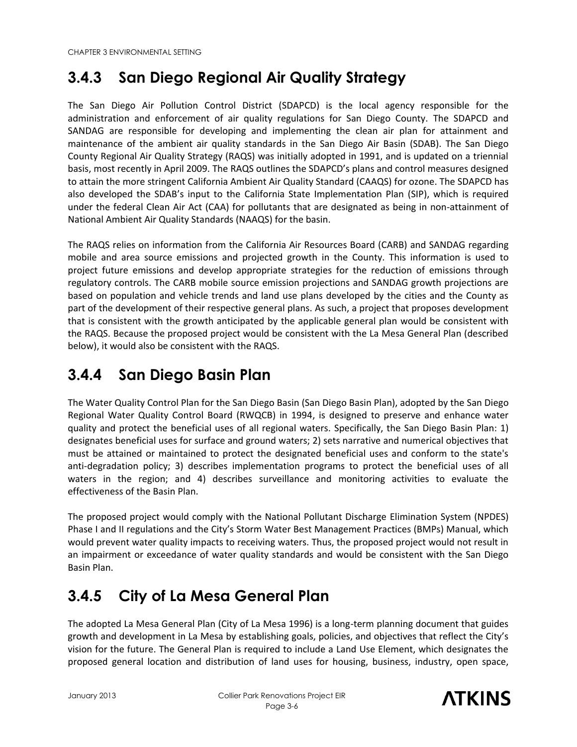#### **3.4.3 San Diego Regional Air Quality Strategy**

The San Diego Air Pollution Control District (SDAPCD) is the local agency responsible for the administration and enforcement of air quality regulations for San Diego County. The SDAPCD and SANDAG are responsible for developing and implementing the clean air plan for attainment and maintenance of the ambient air quality standards in the San Diego Air Basin (SDAB). The San Diego County Regional Air Quality Strategy (RAQS) was initially adopted in 1991, and is updated on a triennial basis, most recently in April 2009. The RAQS outlines the SDAPCD's plans and control measures designed to attain the more stringent California Ambient Air Quality Standard (CAAQS) for ozone. The SDAPCD has also developed the SDAB's input to the California State Implementation Plan (SIP), which is required under the federal Clean Air Act (CAA) for pollutants that are designated as being in non-attainment of National Ambient Air Quality Standards (NAAQS) for the basin.

The RAQS relies on information from the California Air Resources Board (CARB) and SANDAG regarding mobile and area source emissions and projected growth in the County. This information is used to project future emissions and develop appropriate strategies for the reduction of emissions through regulatory controls. The CARB mobile source emission projections and SANDAG growth projections are based on population and vehicle trends and land use plans developed by the cities and the County as part of the development of their respective general plans. As such, a project that proposes development that is consistent with the growth anticipated by the applicable general plan would be consistent with the RAQS. Because the proposed project would be consistent with the La Mesa General Plan (described below), it would also be consistent with the RAQS.

#### **3.4.4 San Diego Basin Plan**

The Water Quality Control Plan for the San Diego Basin (San Diego Basin Plan), adopted by the San Diego Regional Water Quality Control Board (RWQCB) in 1994, is designed to preserve and enhance water quality and protect the beneficial uses of all regional waters. Specifically, the San Diego Basin Plan: 1) designates beneficial uses for surface and ground waters; 2) sets narrative and numerical objectives that must be attained or maintained to protect the designated beneficial uses and conform to the state's anti-degradation policy; 3) describes implementation programs to protect the beneficial uses of all waters in the region; and 4) describes surveillance and monitoring activities to evaluate the effectiveness of the Basin Plan.

The proposed project would comply with the National Pollutant Discharge Elimination System (NPDES) Phase I and II regulations and the City's Storm Water Best Management Practices (BMPs) Manual, which would prevent water quality impacts to receiving waters. Thus, the proposed project would not result in an impairment or exceedance of water quality standards and would be consistent with the San Diego Basin Plan.

#### **3.4.5 City of La Mesa General Plan**

The adopted La Mesa General Plan (City of La Mesa 1996) is a long-term planning document that guides growth and development in La Mesa by establishing goals, policies, and objectives that reflect the City's vision for the future. The General Plan is required to include a Land Use Element, which designates the proposed general location and distribution of land uses for housing, business, industry, open space,

![](_page_5_Picture_11.jpeg)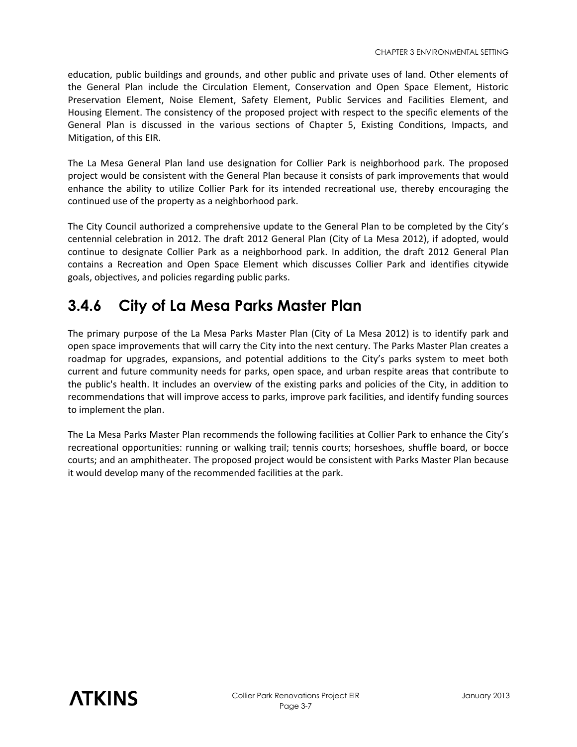education, public buildings and grounds, and other public and private uses of land. Other elements of the General Plan include the Circulation Element, Conservation and Open Space Element, Historic Preservation Element, Noise Element, Safety Element, Public Services and Facilities Element, and Housing Element. The consistency of the proposed project with respect to the specific elements of the General Plan is discussed in the various sections of Chapter 5, Existing Conditions, Impacts, and Mitigation, of this EIR.

The La Mesa General Plan land use designation for Collier Park is neighborhood park. The proposed project would be consistent with the General Plan because it consists of park improvements that would enhance the ability to utilize Collier Park for its intended recreational use, thereby encouraging the continued use of the property as a neighborhood park.

The City Council authorized a comprehensive update to the General Plan to be completed by the City's centennial celebration in 2012. The draft 2012 General Plan (City of La Mesa 2012), if adopted, would continue to designate Collier Park as a neighborhood park. In addition, the draft 2012 General Plan contains a Recreation and Open Space Element which discusses Collier Park and identifies citywide goals, objectives, and policies regarding public parks.

#### **3.4.6 City of La Mesa Parks Master Plan**

The primary purpose of the La Mesa Parks Master Plan (City of La Mesa 2012) is to identify park and open space improvements that will carry the City into the next century. The Parks Master Plan creates a roadmap for upgrades, expansions, and potential additions to the City's parks system to meet both current and future community needs for parks, open space, and urban respite areas that contribute to the public's health. It includes an overview of the existing parks and policies of the City, in addition to recommendations that will improve access to parks, improve park facilities, and identify funding sources to implement the plan.

The La Mesa Parks Master Plan recommends the following facilities at Collier Park to enhance the City's recreational opportunities: running or walking trail; tennis courts; horseshoes, shuffle board, or bocce courts; and an amphitheater. The proposed project would be consistent with Parks Master Plan because it would develop many of the recommended facilities at the park.

![](_page_6_Picture_7.jpeg)